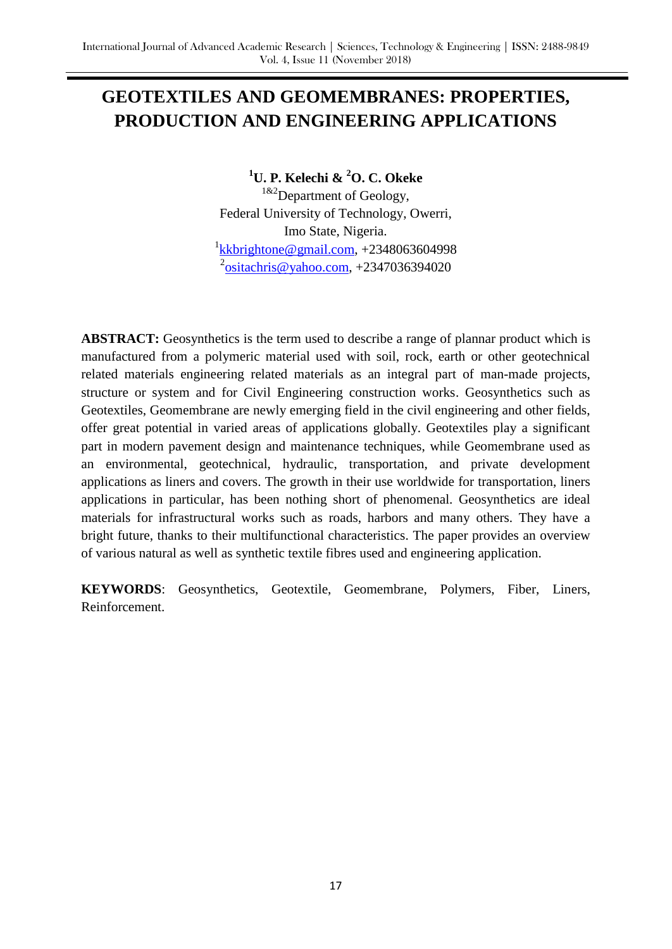# **GEOTEXTILES AND GEOMEMBRANES: PROPERTIES, PRODUCTION AND ENGINEERING APPLICATIONS**

## **<sup>1</sup>U. P. Kelechi & <sup>2</sup>O. C. Okeke**

 $1\&2$ Department of Geology, Federal University of Technology, Owerri, Imo State, Nigeria.  $1$ [kkbrightone@gmail.com,](mailto:kkbrightone@gmail.com) +2348063604998 <sup>2</sup><u>ositachris@yahoo.com</u>, +2347036394020

**ABSTRACT:** Geosynthetics is the term used to describe a range of plannar product which is manufactured from a polymeric material used with soil, rock, earth or other geotechnical related materials engineering related materials as an integral part of man-made projects, structure or system and for Civil Engineering construction works. Geosynthetics such as Geotextiles, Geomembrane are newly emerging field in the civil engineering and other fields, offer great potential in varied areas of applications globally. Geotextiles play a significant part in modern pavement design and maintenance techniques, while Geomembrane used as an environmental, geotechnical, hydraulic, transportation, and private development applications as liners and covers. The growth in their use worldwide for transportation, liners applications in particular, has been nothing short of phenomenal. Geosynthetics are ideal materials for infrastructural works such as roads, harbors and many others. They have a bright future, thanks to their multifunctional characteristics. The paper provides an overview of various natural as well as synthetic textile fibres used and engineering application.

**KEYWORDS**: Geosynthetics, Geotextile, Geomembrane, Polymers, Fiber, Liners, Reinforcement.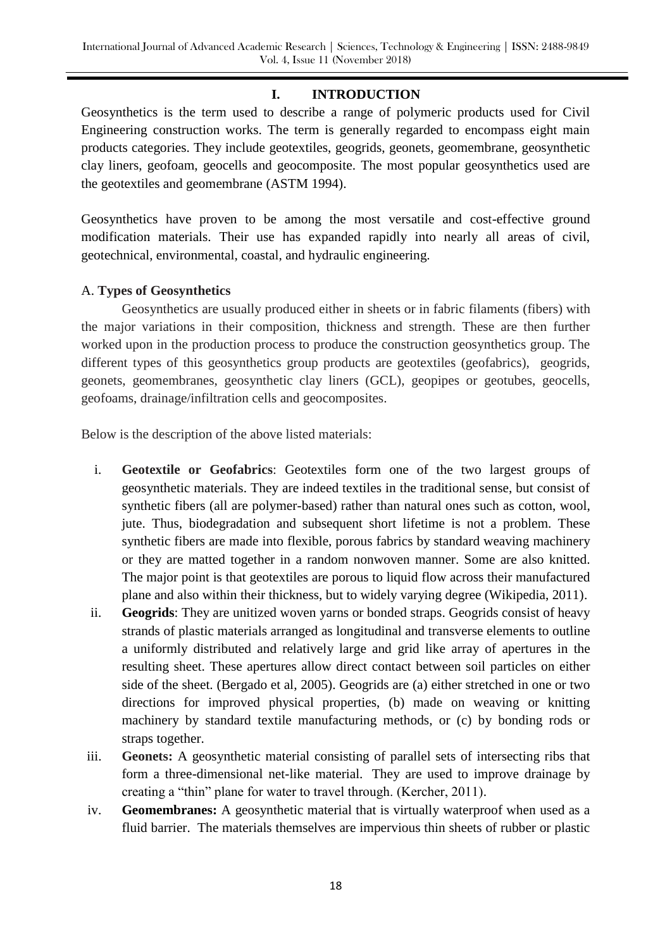#### **I. INTRODUCTION**

Geosynthetics is the term used to describe a range of polymeric products used for Civil Engineering construction works. The term is generally regarded to encompass eight main products categories. They include geotextiles, geogrids, geonets, geomembrane, geosynthetic clay liners, geofoam, geocells and geocomposite. The most popular geosynthetics used are the geotextiles and geomembrane (ASTM 1994).

Geosynthetics have proven to be among the most versatile and cost-effective ground modification materials. Their use has expanded rapidly into nearly all areas of civil, geotechnical, environmental, coastal, and hydraulic engineering.

#### A. **Types of Geosynthetics**

Geosynthetics are usually produced either in sheets or in fabric filaments (fibers) with the major variations in their composition, thickness and strength. These are then further worked upon in the production process to produce the construction geosynthetics group. The different types of this geosynthetics group products are geotextiles (geofabrics), geogrids, geonets, geomembranes, geosynthetic clay liners (GCL), geopipes or geotubes, geocells, geofoams, drainage/infiltration cells and geocomposites.

Below is the description of the above listed materials:

- i. **Geotextile or Geofabrics**: Geotextiles form one of the two largest groups of geosynthetic materials. They are indeed textiles in the traditional sense, but consist of synthetic fibers (all are polymer-based) rather than natural ones such as cotton, wool, jute. Thus, biodegradation and subsequent short lifetime is not a problem. These synthetic fibers are made into flexible, porous fabrics by standard weaving machinery or they are matted together in a random nonwoven manner. Some are also knitted. The major point is that geotextiles are porous to liquid flow across their manufactured plane and also within their thickness, but to widely varying degree (Wikipedia, 2011).
- ii. **Geogrids**: They are unitized woven yarns or bonded straps. Geogrids consist of heavy strands of plastic materials arranged as longitudinal and transverse elements to outline a uniformly distributed and relatively large and grid like array of apertures in the resulting sheet. These apertures allow direct contact between soil particles on either side of the sheet. (Bergado et al, 2005). Geogrids are (a) either stretched in one or two directions for improved physical properties, (b) made on weaving or knitting machinery by standard textile manufacturing methods, or (c) by bonding rods or straps together.
- iii. **Geonets:** A geosynthetic material consisting of parallel sets of intersecting ribs that form a three-dimensional net-like material. They are used to improve drainage by creating a "thin" plane for water to travel through. (Kercher, 2011).
- iv. **Geomembranes:** A geosynthetic material that is virtually waterproof when used as a fluid barrier. The materials themselves are impervious thin sheets of rubber or plastic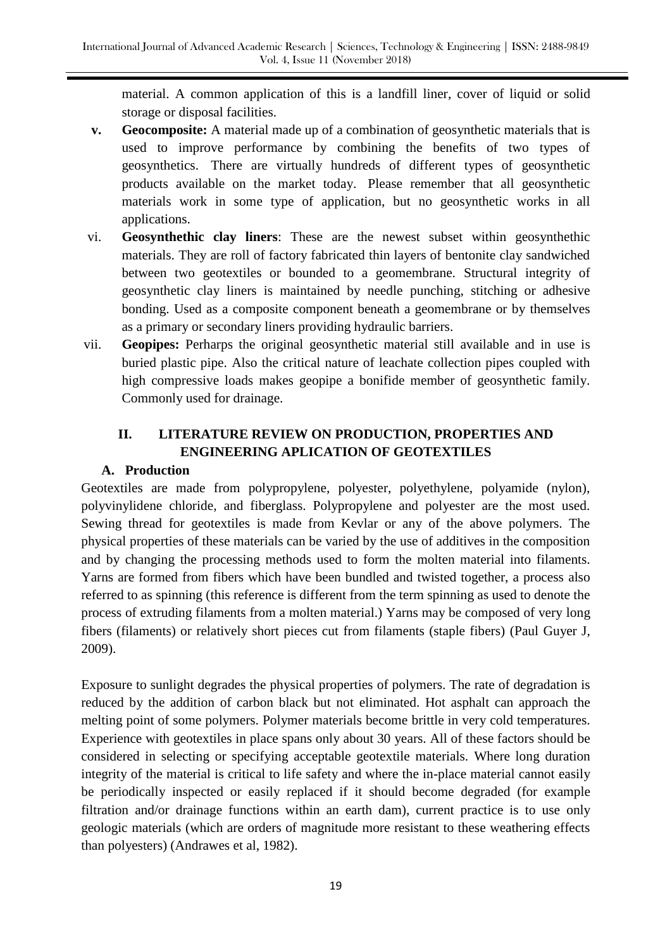material. A common application of this is a landfill liner, cover of liquid or solid storage or disposal facilities.

- **v. Geocomposite:** A material made up of a combination of geosynthetic materials that is used to improve performance by combining the benefits of two types of geosynthetics. There are virtually hundreds of different types of geosynthetic products available on the market today. Please remember that all geosynthetic materials work in some type of application, but no geosynthetic works in all applications.
- vi. **Geosynthethic clay liners**: These are the newest subset within geosynthethic materials. They are roll of factory fabricated thin layers of bentonite clay sandwiched between two geotextiles or bounded to a geomembrane. Structural integrity of geosynthetic clay liners is maintained by needle punching, stitching or adhesive bonding. Used as a composite component beneath a geomembrane or by themselves as a primary or secondary liners providing hydraulic barriers.
- vii. **Geopipes:** Perharps the original geosynthetic material still available and in use is buried plastic pipe. Also the critical nature of leachate collection pipes coupled with high compressive loads makes geopipe a bonifide member of geosynthetic family. Commonly used for drainage.

## **II. LITERATURE REVIEW ON PRODUCTION, PROPERTIES AND ENGINEERING APLICATION OF GEOTEXTILES**

#### **A. Production**

Geotextiles are made from polypropylene, polyester, polyethylene, polyamide (nylon), polyvinylidene chloride, and fiberglass. Polypropylene and polyester are the most used. Sewing thread for geotextiles is made from Kevlar or any of the above polymers. The physical properties of these materials can be varied by the use of additives in the composition and by changing the processing methods used to form the molten material into filaments. Yarns are formed from fibers which have been bundled and twisted together, a process also referred to as spinning (this reference is different from the term spinning as used to denote the process of extruding filaments from a molten material.) Yarns may be composed of very long fibers (filaments) or relatively short pieces cut from filaments (staple fibers) (Paul Guyer J, 2009).

Exposure to sunlight degrades the physical properties of polymers. The rate of degradation is reduced by the addition of carbon black but not eliminated. Hot asphalt can approach the melting point of some polymers. Polymer materials become brittle in very cold temperatures. Experience with geotextiles in place spans only about 30 years. All of these factors should be considered in selecting or specifying acceptable geotextile materials. Where long duration integrity of the material is critical to life safety and where the in-place material cannot easily be periodically inspected or easily replaced if it should become degraded (for example filtration and/or drainage functions within an earth dam), current practice is to use only geologic materials (which are orders of magnitude more resistant to these weathering effects than polyesters) (Andrawes et al, 1982).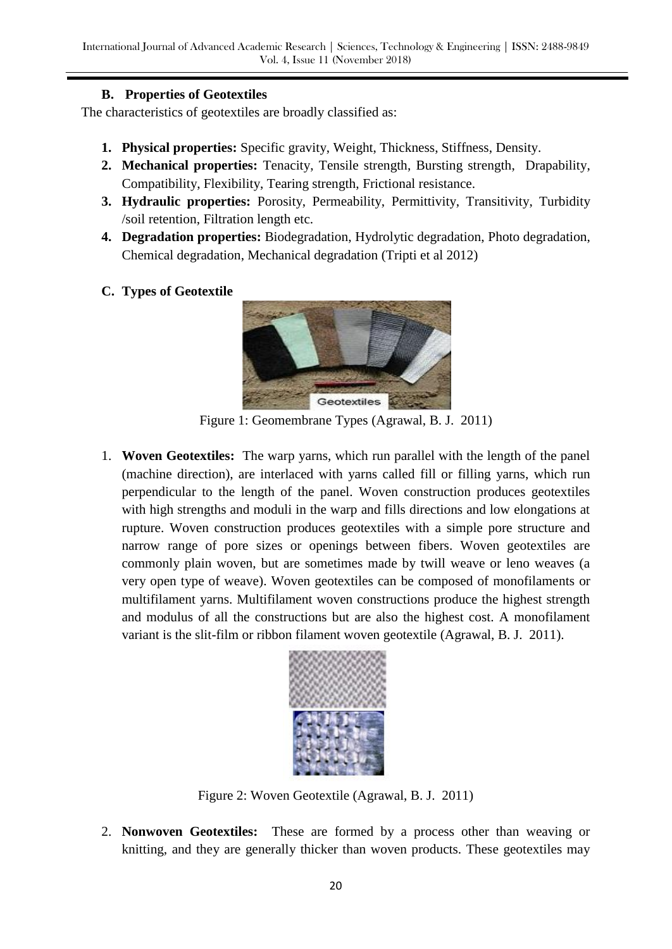#### **B. Properties of Geotextiles**

The characteristics of geotextiles are broadly classified as:

- **1. Physical properties:** Specific gravity, Weight, Thickness, Stiffness, Density.
- **2. Mechanical properties:** Tenacity, Tensile strength, Bursting strength, Drapability, Compatibility, Flexibility, Tearing strength, Frictional resistance.
- **3. Hydraulic properties:** Porosity, Permeability, Permittivity, Transitivity, Turbidity /soil retention, Filtration length etc.
- **4. Degradation properties:** Biodegradation, Hydrolytic degradation, Photo degradation, Chemical degradation, Mechanical degradation (Tripti et al 2012)
- **C. Types of Geotextile**



Figure 1: Geomembrane Types (Agrawal, B. J. 2011)

1. **Woven Geotextiles:** The warp yarns, which run parallel with the length of the panel (machine direction), are interlaced with yarns called fill or filling yarns, which run perpendicular to the length of the panel. Woven construction produces geotextiles with high strengths and moduli in the warp and fills directions and low elongations at rupture. Woven construction produces geotextiles with a simple pore structure and narrow range of pore sizes or openings between fibers. Woven geotextiles are commonly plain woven, but are sometimes made by twill weave or leno weaves (a very open type of weave). Woven geotextiles can be composed of monofilaments or multifilament yarns. Multifilament woven constructions produce the highest strength and modulus of all the constructions but are also the highest cost. A monofilament variant is the slit-film or ribbon filament woven geotextile (Agrawal, B. J. 2011).



Figure 2: Woven Geotextile (Agrawal, B. J. 2011)

2. **Nonwoven Geotextiles:** These are formed by a process other than weaving or knitting, and they are generally thicker than woven products. These geotextiles may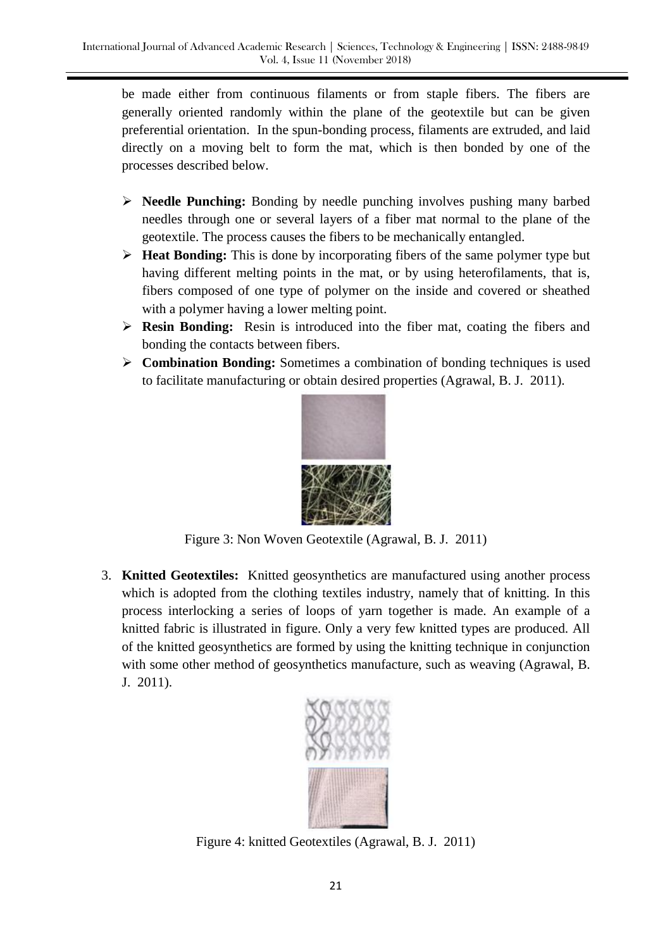be made either from continuous filaments or from staple fibers. The fibers are generally oriented randomly within the plane of the geotextile but can be given preferential orientation. In the spun-bonding process, filaments are extruded, and laid directly on a moving belt to form the mat, which is then bonded by one of the processes described below.

- **Needle Punching:** Bonding by needle punching involves pushing many barbed needles through one or several layers of a fiber mat normal to the plane of the geotextile. The process causes the fibers to be mechanically entangled.
- **Heat Bonding:** This is done by incorporating fibers of the same polymer type but having different melting points in the mat, or by using heterofilaments, that is, fibers composed of one type of polymer on the inside and covered or sheathed with a polymer having a lower melting point.
- **Resin Bonding:** Resin is introduced into the fiber mat, coating the fibers and bonding the contacts between fibers.
- **Combination Bonding:** Sometimes a combination of bonding techniques is used to facilitate manufacturing or obtain desired properties (Agrawal, B. J. 2011).



Figure 3: Non Woven Geotextile (Agrawal, B. J. 2011)

3. **Knitted Geotextiles:** Knitted geosynthetics are manufactured using another process which is adopted from the clothing textiles industry, namely that of knitting. In this process interlocking a series of loops of yarn together is made. An example of a knitted fabric is illustrated in figure. Only a very few knitted types are produced. All of the knitted geosynthetics are formed by using the knitting technique in conjunction with some other method of geosynthetics manufacture, such as weaving (Agrawal, B. J. 2011).



Figure 4: knitted Geotextiles (Agrawal, B. J. 2011)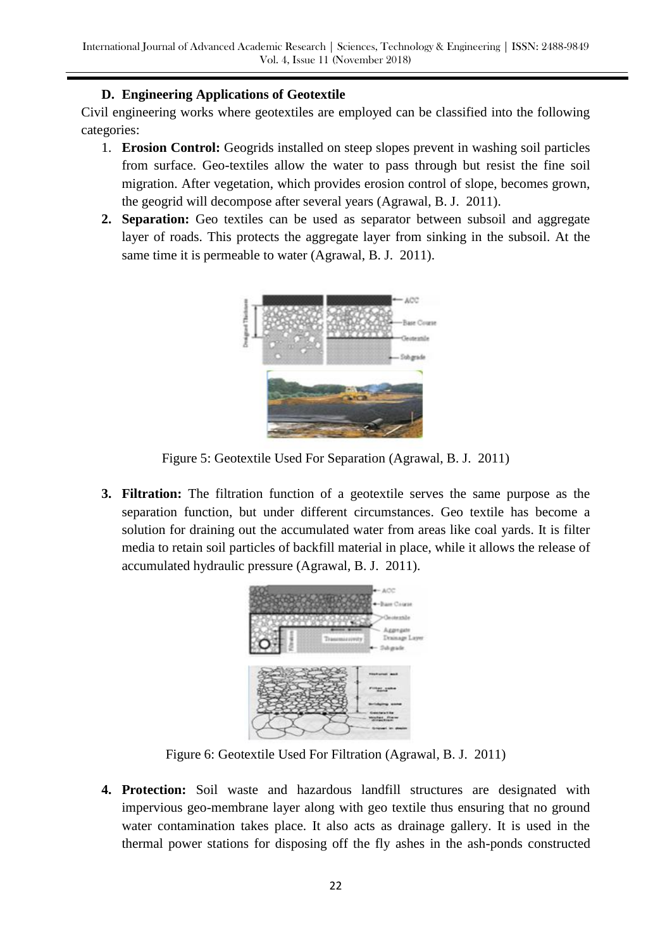#### **D. Engineering Applications of Geotextile**

Civil engineering works where geotextiles are employed can be classified into the following categories:

- 1. **Erosion Control:** Geogrids installed on steep slopes prevent in washing soil particles from surface. Geo-textiles allow the water to pass through but resist the fine soil migration. After vegetation, which provides erosion control of slope, becomes grown, the geogrid will decompose after several years (Agrawal, B. J. 2011).
- **2. Separation:** Geo textiles can be used as separator between subsoil and aggregate layer of roads. This protects the aggregate layer from sinking in the subsoil. At the same time it is permeable to water (Agrawal, B. J. 2011).



Figure 5: Geotextile Used For Separation (Agrawal, B. J. 2011)

**3. Filtration:** The filtration function of a geotextile serves the same purpose as the separation function, but under different circumstances. Geo textile has become a solution for draining out the accumulated water from areas like coal yards. It is filter media to retain soil particles of backfill material in place, while it allows the release of accumulated hydraulic pressure (Agrawal, B. J. 2011).



Figure 6: Geotextile Used For Filtration (Agrawal, B. J. 2011)

**4. Protection:** Soil waste and hazardous landfill structures are designated with impervious geo-membrane layer along with geo textile thus ensuring that no ground water contamination takes place. It also acts as drainage gallery. It is used in the thermal power stations for disposing off the fly ashes in the ash-ponds constructed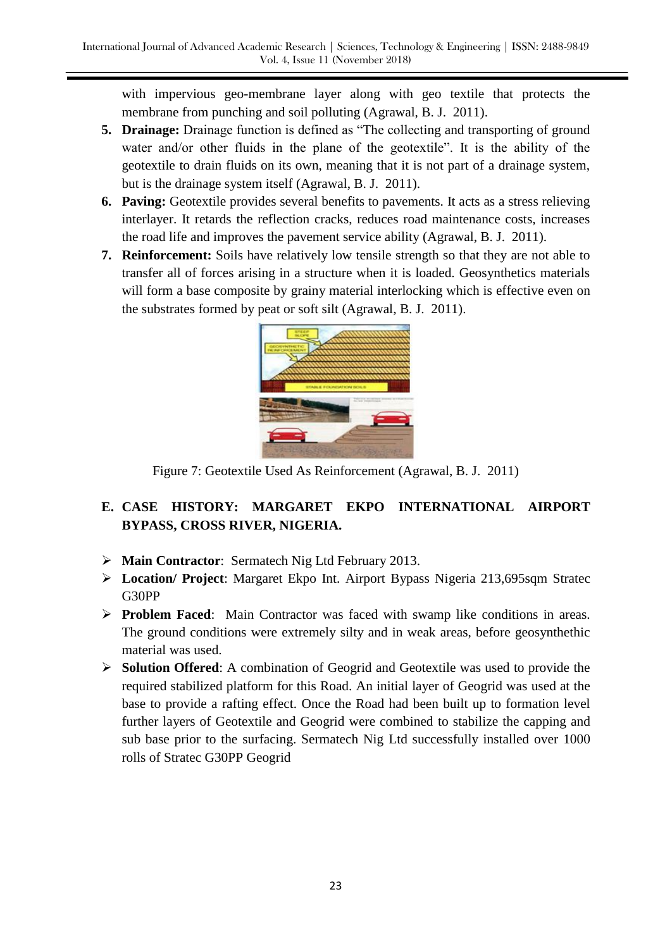with impervious geo-membrane layer along with geo textile that protects the membrane from punching and soil polluting (Agrawal, B. J. 2011).

- **5. Drainage:** Drainage function is defined as "The collecting and transporting of ground water and/or other fluids in the plane of the geotextile". It is the ability of the geotextile to drain fluids on its own, meaning that it is not part of a drainage system, but is the drainage system itself (Agrawal, B. J. 2011).
- **6. Paving:** Geotextile provides several benefits to pavements. It acts as a stress relieving interlayer. It retards the reflection cracks, reduces road maintenance costs, increases the road life and improves the pavement service ability (Agrawal, B. J. 2011).
- **7. Reinforcement:** Soils have relatively low tensile strength so that they are not able to transfer all of forces arising in a structure when it is loaded. Geosynthetics materials will form a base composite by grainy material interlocking which is effective even on the substrates formed by peat or soft silt (Agrawal, B. J. 2011).



Figure 7: Geotextile Used As Reinforcement (Agrawal, B. J. 2011)

## **E. CASE HISTORY: MARGARET EKPO INTERNATIONAL AIRPORT BYPASS, CROSS RIVER, NIGERIA.**

- **Main Contractor**: Sermatech Nig Ltd February 2013.
- **Location/ Project**: Margaret Ekpo Int. Airport Bypass Nigeria 213,695sqm Stratec G30PP
- **Problem Faced**: Main Contractor was faced with swamp like conditions in areas. The ground conditions were extremely silty and in weak areas, before geosynthethic material was used.
- **Solution Offered**: A combination of Geogrid and Geotextile was used to provide the required stabilized platform for this Road. An initial layer of Geogrid was used at the base to provide a rafting effect. Once the Road had been built up to formation level further layers of Geotextile and Geogrid were combined to stabilize the capping and sub base prior to the surfacing. Sermatech Nig Ltd successfully installed over 1000 rolls of Stratec G30PP Geogrid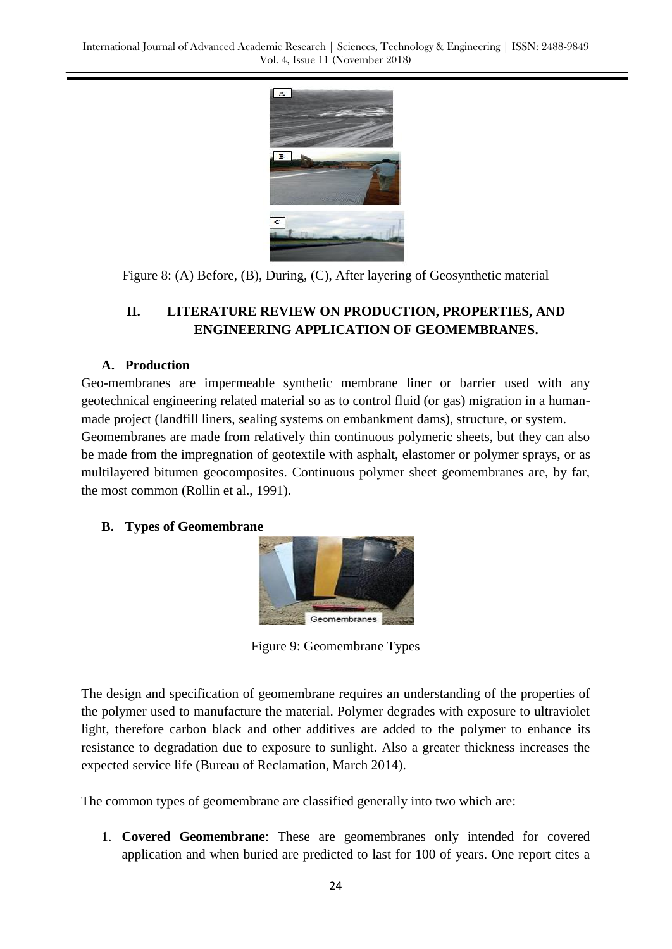

Figure 8: (A) Before, (B), During, (C), After layering of Geosynthetic material

## **II. LITERATURE REVIEW ON PRODUCTION, PROPERTIES, AND ENGINEERING APPLICATION OF GEOMEMBRANES.**

#### **A. Production**

Geo-membranes are impermeable synthetic membrane liner or barrier used with any geotechnical engineering related material so as to control fluid (or gas) migration in a humanmade project (landfill liners, sealing systems on embankment dams), structure, or system. Geomembranes are made from relatively thin continuous polymeric sheets, but they can also be made from the impregnation of geotextile with asphalt, [elastomer](https://en.wikipedia.org/wiki/Elastomer) or [polymer sprays,](https://en.wikipedia.org/wiki/Polymer) or as multilayered bitumen geocomposites. Continuous polymer sheet geomembranes are, by far, the most common (Rollin et al., 1991).

#### **B. Types of Geomembrane**



Figure 9: Geomembrane Types

The design and specification of geomembrane requires an understanding of the properties of the polymer used to manufacture the material. Polymer degrades with exposure to ultraviolet light, therefore carbon black and other additives are added to the polymer to enhance its resistance to degradation due to exposure to sunlight. Also a greater thickness increases the expected service life (Bureau of Reclamation, March 2014).

The common types of geomembrane are classified generally into two which are:

1. **Covered Geomembrane**: These are geomembranes only intended for covered application and when buried are predicted to last for 100 of years. One report cites a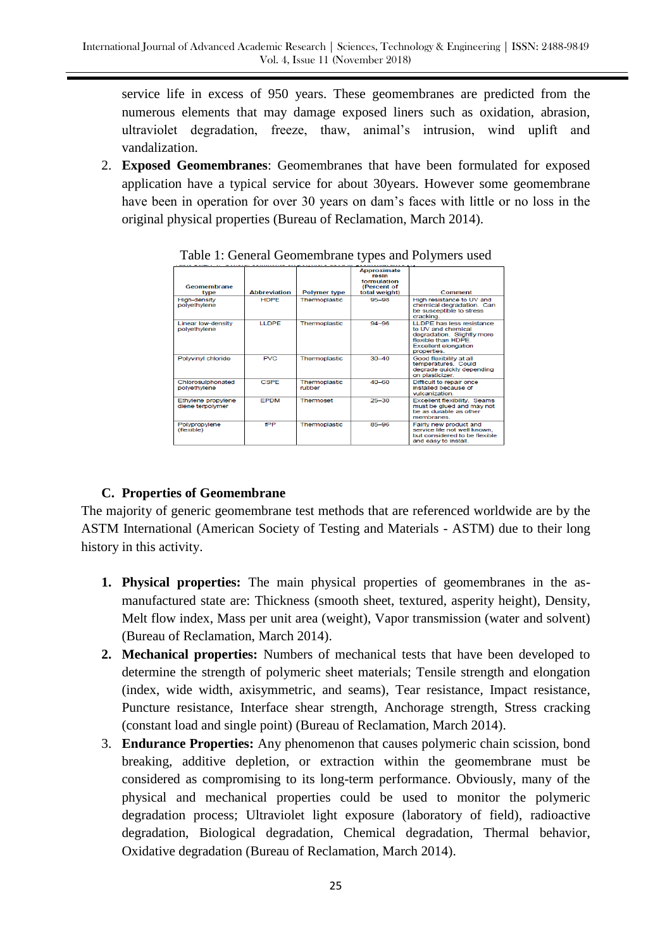service life in excess of 950 years. These geomembranes are predicted from the numerous elements that may damage exposed liners such as oxidation, abrasion, ultraviolet degradation, freeze, thaw, animal's intrusion, wind uplift and vandalization.

2. **Exposed Geomembranes**: Geomembranes that have been formulated for exposed application have a typical service for about 30years. However some geomembrane have been in operation for over 30 years on dam's faces with little or no loss in the original physical properties (Bureau of Reclamation, March 2014).

| Geomembrane<br>type                    | <b>Abbreviation</b> | <b>Polymer type</b>     | <b>Approximate</b><br>resin<br>formulation<br>(Percent of<br>total weight) | Comment                                                                                                                                                  |
|----------------------------------------|---------------------|-------------------------|----------------------------------------------------------------------------|----------------------------------------------------------------------------------------------------------------------------------------------------------|
| <b>High-density</b><br>polyethylene    | <b>HDPE</b>         | <b>Thermoplastic</b>    | 95-98                                                                      | High resistance to UV and<br>chemical degradation. Can<br>be susceptible to stress<br>cracking.                                                          |
| Linear low-density<br>polvethylene     | LLDPE               | Thermoplastic           | $94 - 96$                                                                  | <b>LLDPE has less resistance</b><br>to UV and chemical<br>degradation. Slightly more<br>flexible than HDPF<br><b>Excellent elongation</b><br>properties. |
| Polyvinyl chloride                     | <b>PVC</b>          | Thermoplastic           | $30 - 40$                                                                  | Good flexibility at all<br>temperatures. Could<br>degrade guickly depending<br>on plasticizer.                                                           |
| Chlorosulphonated<br>polvethylene      | CSPE                | Thermoplastic<br>rubber | $40 - 60$                                                                  | Difficult to repair once<br>installed because of<br>vulcanization.                                                                                       |
| Ethylene propylene<br>diene terpolymer | <b>FPDM</b>         | Thermoset               | $25 - 30$                                                                  | <b>Excellent flexibility. Seams</b><br>must be glued and may not<br>be as durable as other<br>membranes.                                                 |
| Polypropylene<br>(flexible)            | fPP                 | Thermoplastic           | 85-96                                                                      | Fairly new product and<br>service life not well known.<br>but considered to be flexible.<br>and easy to install.                                         |

Table 1: General Geomembrane types and Polymers used

### **C. Properties of Geomembrane**

The majority of generic geomembrane test methods that are referenced worldwide are by the ASTM International (American Society of Testing and Materials - [ASTM\)](https://en.wikipedia.org/wiki/ASTM_International) due to their long history in this activity.

- **1. Physical properties:** The main physical properties of geomembranes in the asmanufactured state are: Thickness (smooth sheet, textured, asperity height), Density, [Melt flow index,](https://en.wikipedia.org/wiki/Melt_flow_index) Mass per unit area (weight), Vapor transmission (water and solvent) (Bureau of Reclamation, March 2014).
- **2. Mechanical properties:** Numbers of mechanical tests that have been developed to determine the strength of polymeric sheet materials; Tensile strength and elongation (index, wide width, axisymmetric, and seams), [Tear resistance,](https://en.wikipedia.org/wiki/Tear_resistance) [Impact resistance,](https://en.wikipedia.org/wiki/Impact_resistance) [Puncture resistance,](https://en.wikipedia.org/wiki/Puncture_resistance) Interface shear strength, Anchorage strength, Stress cracking (constant load and single point) (Bureau of Reclamation, March 2014).
- 3. **Endurance Properties:** Any phenomenon that causes polymeric chain scission, bond breaking, additive depletion, or extraction within the geomembrane must be considered as compromising to its long-term performance. Obviously, many of the physical and mechanical properties could be used to monitor the polymeric degradation process; Ultraviolet light exposure (laboratory of field), radioactive degradation, Biological degradation, Chemical degradation, Thermal behavior, Oxidative degradation (Bureau of Reclamation, March 2014).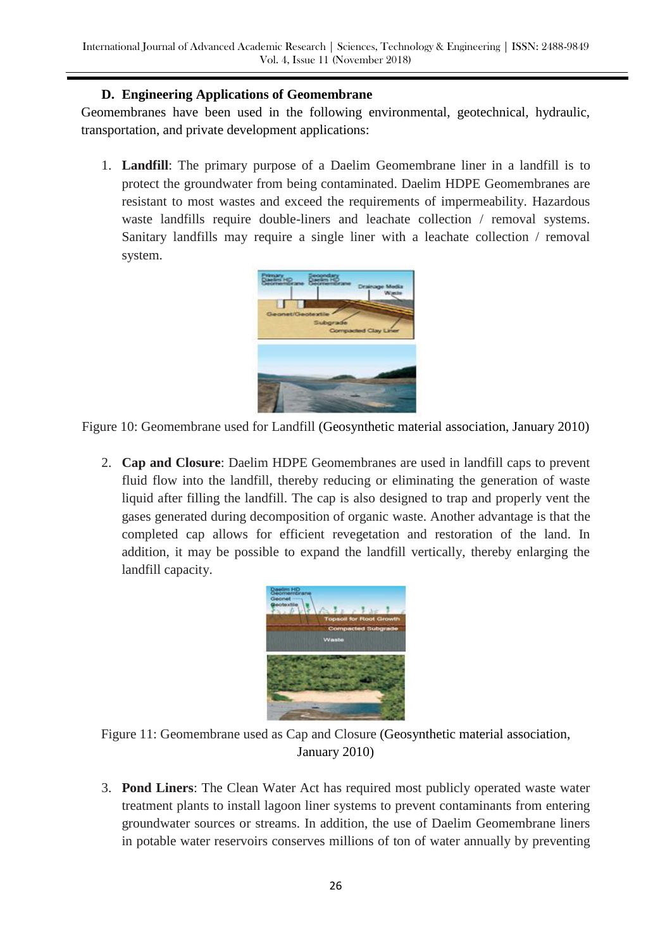#### **D. Engineering Applications of Geomembrane**

Geomembranes have been used in the following environmental, geotechnical, hydraulic, transportation, and private development applications:

1. **Landfill**: The primary purpose of a Daelim Geomembrane liner in a landfill is to protect the groundwater from being contaminated. Daelim HDPE Geomembranes are resistant to most wastes and exceed the requirements of impermeability. Hazardous waste landfills require double-liners and leachate collection / removal systems. Sanitary landfills may require a single liner with a leachate collection / removal system.



Figure 10: Geomembrane used for Landfill (Geosynthetic material association, January 2010)

2. **Cap and Closure**: Daelim HDPE Geomembranes are used in landfill caps to prevent fluid flow into the landfill, thereby reducing or eliminating the generation of waste liquid after filling the landfill. The cap is also designed to trap and properly vent the gases generated during decomposition of organic waste. Another advantage is that the completed cap allows for efficient revegetation and restoration of the land. In addition, it may be possible to expand the landfill vertically, thereby enlarging the landfill capacity.

| Daelim HD<br>Geomembran<br>Geonet:<br>elitxatoei<br>52<br><b>SETTLE SE</b> | $-115$<br><b>Topsail for Root Growth</b> |
|----------------------------------------------------------------------------|------------------------------------------|
|                                                                            | <b>Compacted Subgrade</b>                |
|                                                                            | Waste                                    |
|                                                                            |                                          |

Figure 11: Geomembrane used as Cap and Closure (Geosynthetic material association, January 2010)

3. **Pond Liners**: The Clean Water Act has required most publicly operated waste water treatment plants to install lagoon liner systems to prevent contaminants from entering groundwater sources or streams. In addition, the use of Daelim Geomembrane liners in potable water reservoirs conserves millions of ton of water annually by preventing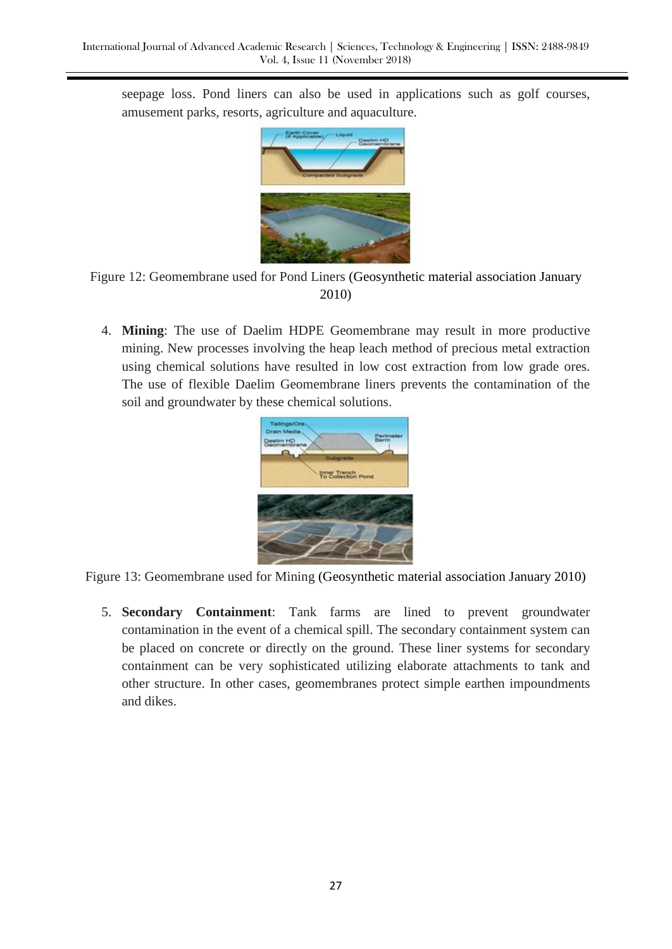seepage loss. Pond liners can also be used in applications such as golf courses, amusement parks, resorts, agriculture and aquaculture.



Figure 12: Geomembrane used for Pond Liners (Geosynthetic material association January 2010)

4. **Mining**: The use of Daelim HDPE Geomembrane may result in more productive mining. New processes involving the heap leach method of precious metal extraction using chemical solutions have resulted in low cost extraction from low grade ores. The use of flexible Daelim Geomembrane liners prevents the contamination of the soil and groundwater by these chemical solutions.



Figure 13: Geomembrane used for Mining (Geosynthetic material association January 2010)

5. **Secondary Containment**: Tank farms are lined to prevent groundwater contamination in the event of a chemical spill. The secondary containment system can be placed on concrete or directly on the ground. These liner systems for secondary containment can be very sophisticated utilizing elaborate attachments to tank and other structure. In other cases, geomembranes protect simple earthen impoundments and dikes.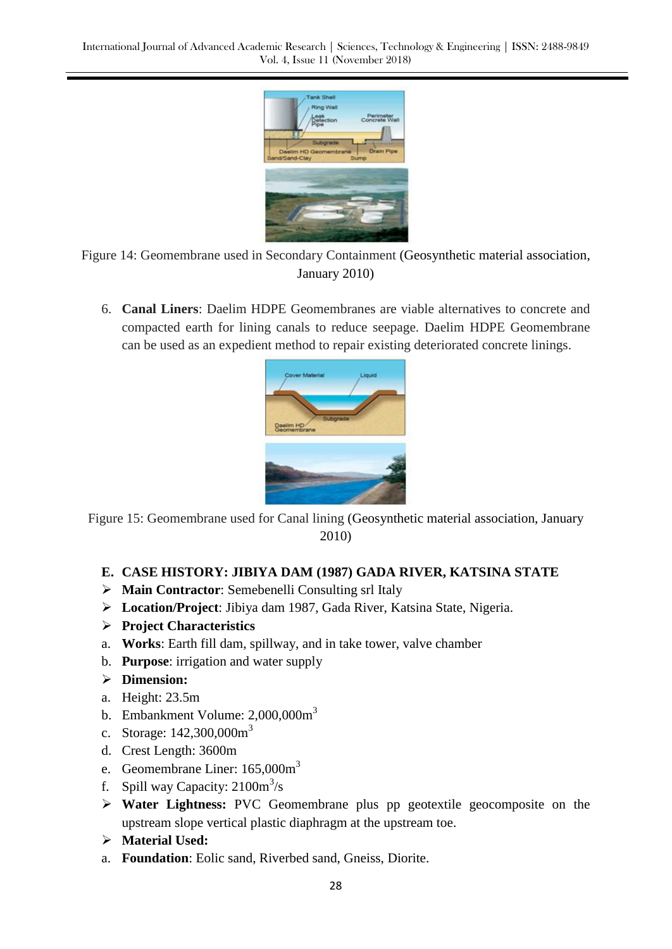

Figure 14: Geomembrane used in Secondary Containment (Geosynthetic material association, January 2010)

6. **Canal Liners**: Daelim HDPE Geomembranes are viable alternatives to concrete and compacted earth for lining canals to reduce seepage. Daelim HDPE Geomembrane can be used as an expedient method to repair existing deteriorated concrete linings.



Figure 15: Geomembrane used for Canal lining (Geosynthetic material association, January 2010)

- **E. CASE HISTORY: JIBIYA DAM (1987) GADA RIVER, KATSINA STATE**
- **Main Contractor**: Semebenelli Consulting srl Italy
- **Location/Project**: Jibiya dam 1987, Gada River, Katsina State, Nigeria.
- **Project Characteristics**
- a. **Works**: Earth fill dam, spillway, and in take tower, valve chamber
- b. **Purpose**: irrigation and water supply
- **Dimension:**
- a. Height: 23.5m
- b. Embankment Volume: 2,000,000m<sup>3</sup>
- c. Storage:  $142,300,000m^3$
- d. Crest Length: 3600m
- e. Geomembrane Liner: 165,000m<sup>3</sup>
- f. Spill way Capacity:  $2100 \text{m}^3/\text{s}$
- **Water Lightness:** PVC Geomembrane plus pp geotextile geocomposite on the upstream slope vertical plastic diaphragm at the upstream toe.
- **Material Used:**
- a. **Foundation**: Eolic sand, Riverbed sand, Gneiss, Diorite.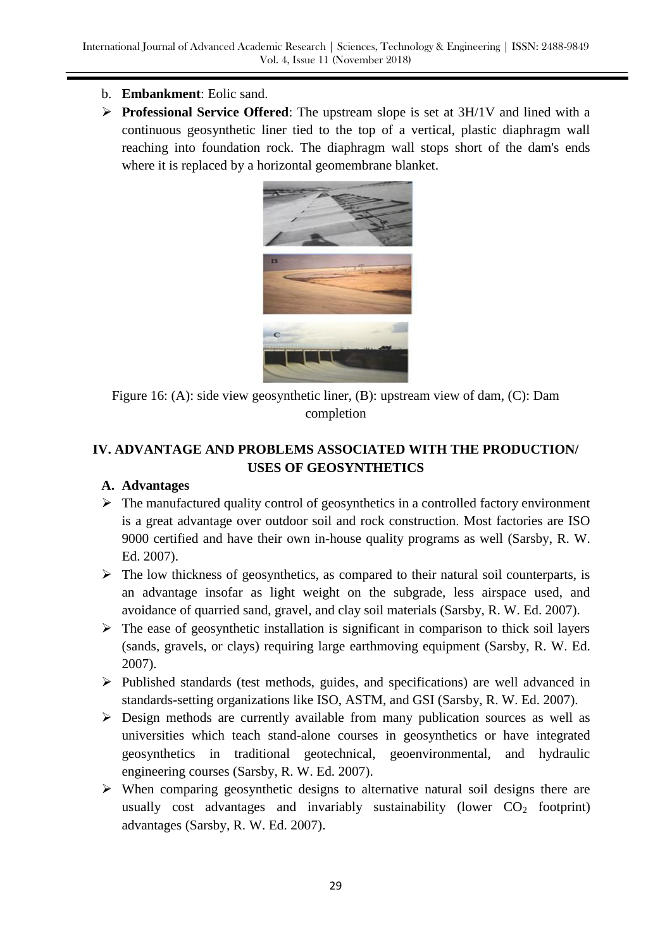- b. **Embankment**: Eolic sand.
- **Professional Service Offered**: The upstream slope is set at 3H/1V and lined with a continuous geosynthetic liner tied to the top of a vertical, plastic diaphragm wall reaching into foundation rock. The diaphragm wall stops short of the dam's ends where it is replaced by a horizontal geomembrane blanket.



Figure 16: (A): side view geosynthetic liner, (B): upstream view of dam, (C): Dam completion

## **IV. ADVANTAGE AND PROBLEMS ASSOCIATED WITH THE PRODUCTION/ USES OF GEOSYNTHETICS**

### **A. Advantages**

- $\triangleright$  The manufactured quality control of geosynthetics in a controlled factory environment is a great advantage over outdoor soil and rock construction. Most factories are ISO 9000 certified and have their own in-house quality programs as well (Sarsby, R. W. Ed. 2007).
- $\triangleright$  The low thickness of geosynthetics, as compared to their natural soil counterparts, is an advantage insofar as light weight on the subgrade, less airspace used, and avoidance of quarried sand, gravel, and clay soil materials (Sarsby, R. W. Ed. 2007).
- $\triangleright$  The ease of geosynthetic installation is significant in comparison to thick soil layers (sands, gravels, or clays) requiring large earthmoving equipment (Sarsby, R. W. Ed. 2007).
- $\triangleright$  Published standards (test methods, guides, and specifications) are well advanced in standards-setting organizations like ISO, ASTM, and GSI (Sarsby, R. W. Ed. 2007).
- Design methods are currently available from many publication sources as well as universities which teach stand-alone courses in geosynthetics or have integrated geosynthetics in traditional geotechnical, geoenvironmental, and hydraulic engineering courses (Sarsby, R. W. Ed. 2007).
- $\triangleright$  When comparing geosynthetic designs to alternative natural soil designs there are usually cost advantages and invariably sustainability (lower  $CO<sub>2</sub>$  footprint) advantages (Sarsby, R. W. Ed. 2007).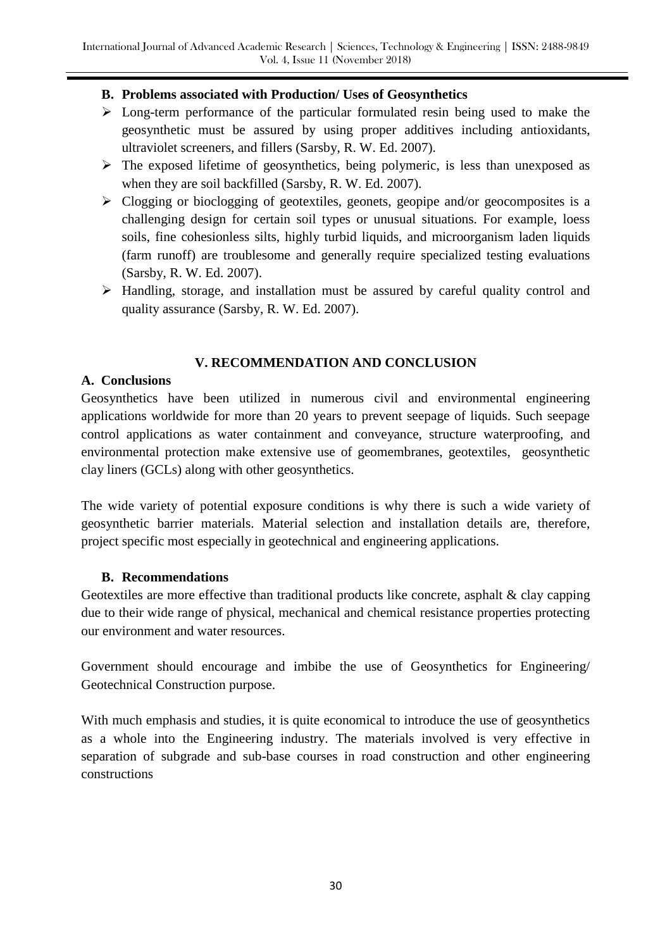#### **B. Problems associated with Production/ Uses of Geosynthetics**

- $\triangleright$  Long-term performance of the particular formulated resin being used to make the geosynthetic must be assured by using proper additives including antioxidants, ultraviolet screeners, and fillers (Sarsby, R. W. Ed. 2007).
- $\triangleright$  The exposed lifetime of geosynthetics, being polymeric, is less than unexposed as when they are soil backfilled (Sarsby, R. W. Ed. 2007).
- $\triangleright$  Clogging or bioclogging of geotextiles, geonets, geopipe and/or geocomposites is a challenging design for certain soil types or unusual situations. For example, loess soils, fine cohesionless silts, highly turbid liquids, and microorganism laden liquids (farm runoff) are troublesome and generally require specialized testing evaluations (Sarsby, R. W. Ed. 2007).
- Handling, storage, and installation must be assured by careful quality control and quality assurance (Sarsby, R. W. Ed. 2007).

#### **V. RECOMMENDATION AND CONCLUSION**

#### **A. Conclusions**

Geosynthetics have been utilized in numerous civil and environmental engineering applications worldwide for more than 20 years to prevent seepage of liquids. Such seepage control applications as water containment and conveyance, structure waterproofing, and environmental protection make extensive use of geomembranes, geotextiles, geosynthetic clay liners (GCLs) along with other geosynthetics.

The wide variety of potential exposure conditions is why there is such a wide variety of geosynthetic barrier materials. Material selection and installation details are, therefore, project specific most especially in geotechnical and engineering applications.

#### **B. Recommendations**

Geotextiles are more effective than traditional products like concrete, asphalt & clay capping due to their wide range of physical, mechanical and chemical resistance properties protecting our environment and water resources.

Government should encourage and imbibe the use of Geosynthetics for Engineering/ Geotechnical Construction purpose.

With much emphasis and studies, it is quite economical to introduce the use of geosynthetics as a whole into the Engineering industry. The materials involved is very effective in separation of subgrade and sub-base courses in road construction and other engineering constructions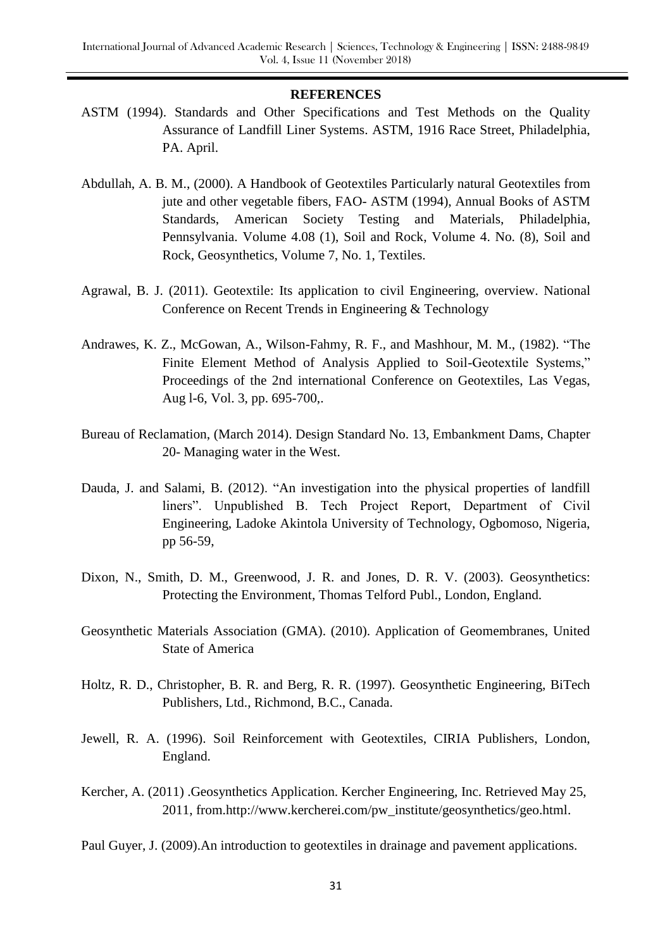#### **REFERENCES**

- ASTM (1994). Standards and Other Specifications and Test Methods on the Quality Assurance of Landfill Liner Systems. ASTM, 1916 Race Street, Philadelphia, PA. April.
- Abdullah, A. B. M., (2000). A Handbook of Geotextiles Particularly natural Geotextiles from jute and other vegetable fibers, FAO- ASTM (1994), Annual Books of ASTM Standards, American Society Testing and Materials, Philadelphia, Pennsylvania. Volume 4.08 (1), Soil and Rock, Volume 4. No. (8), Soil and Rock, Geosynthetics, Volume 7, No. 1, Textiles.
- Agrawal, B. J. (2011). Geotextile: Its application to civil Engineering, overview. National Conference on Recent Trends in Engineering & Technology
- Andrawes, K. Z., McGowan, A., Wilson-Fahmy, R. F., and Mashhour, M. M., (1982). "The Finite Element Method of Analysis Applied to Soil-Geotextile Systems," Proceedings of the 2nd international Conference on Geotextiles, Las Vegas, Aug l-6, Vol. 3, pp. 695-700,.
- Bureau of Reclamation, (March 2014). Design Standard No. 13, Embankment Dams, Chapter 20- Managing water in the West.
- Dauda, J. and Salami, B. (2012). "An investigation into the physical properties of landfill liners". Unpublished B. Tech Project Report, Department of Civil Engineering, Ladoke Akintola University of Technology, Ogbomoso, Nigeria, pp 56-59,
- Dixon, N., Smith, D. M., Greenwood, J. R. and Jones, D. R. V. (2003). Geosynthetics: Protecting the Environment, Thomas Telford Publ., London, England.
- Geosynthetic Materials Association (GMA). (2010). Application of Geomembranes, United State of America
- Holtz, R. D., Christopher, B. R. and Berg, R. R. (1997). Geosynthetic Engineering, BiTech Publishers, Ltd., Richmond, B.C., Canada.
- Jewell, R. A. (1996). Soil Reinforcement with Geotextiles, CIRIA Publishers, London, England.
- Kercher, A. (2011) .Geosynthetics Application. Kercher Engineering, Inc. Retrieved May 25, 2011, from[.http://www.kercherei.com/pw\\_institute/geosynthetics/geo.html.](http://www.kercherei.com/pw_institute/geosynthetics/geo.html)

Paul Guyer, J. (2009).An introduction to geotextiles in drainage and pavement applications.